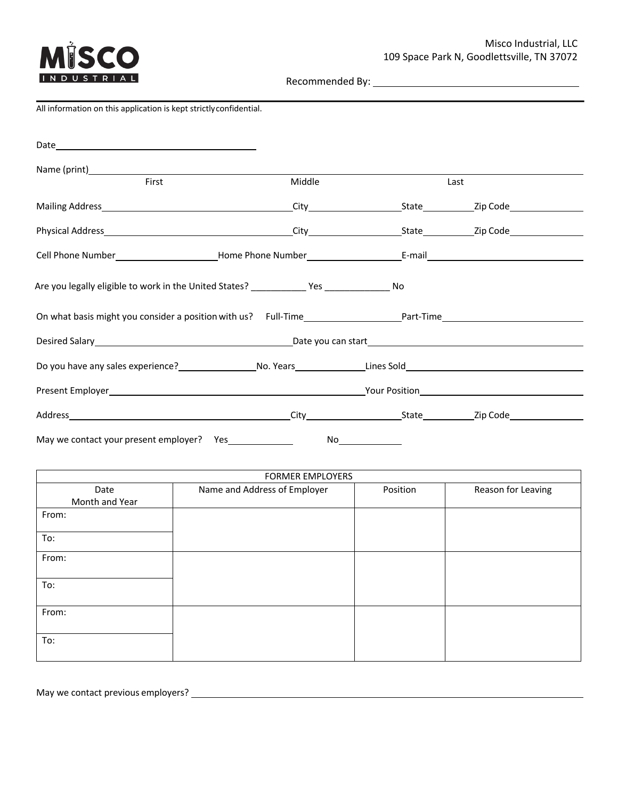

Recommended By:

## All information on this application is kept strictlyconfidential.

| First                                                                                        |                              | Middle                  |          | Last               |  |  |  |
|----------------------------------------------------------------------------------------------|------------------------------|-------------------------|----------|--------------------|--|--|--|
|                                                                                              |                              |                         |          |                    |  |  |  |
|                                                                                              |                              |                         |          |                    |  |  |  |
|                                                                                              |                              |                         |          |                    |  |  |  |
| Are you legally eligible to work in the United States? _____________ Yes ________________ No |                              |                         |          |                    |  |  |  |
|                                                                                              |                              |                         |          |                    |  |  |  |
|                                                                                              |                              |                         |          |                    |  |  |  |
|                                                                                              |                              |                         |          |                    |  |  |  |
|                                                                                              |                              |                         |          |                    |  |  |  |
|                                                                                              |                              |                         |          |                    |  |  |  |
| May we contact your present employer? Yes<br>No                                              |                              |                         |          |                    |  |  |  |
|                                                                                              |                              | <b>FORMER EMPLOYERS</b> |          |                    |  |  |  |
| Date<br>Month and Year                                                                       | Name and Address of Employer |                         | Position | Reason for Leaving |  |  |  |
| From:                                                                                        |                              |                         |          |                    |  |  |  |
| To:                                                                                          |                              |                         |          |                    |  |  |  |
| From:                                                                                        |                              |                         |          |                    |  |  |  |
| To:                                                                                          |                              |                         |          |                    |  |  |  |
| From:                                                                                        |                              |                         |          |                    |  |  |  |
| To:                                                                                          |                              |                         |          |                    |  |  |  |

May we contact previous employers?